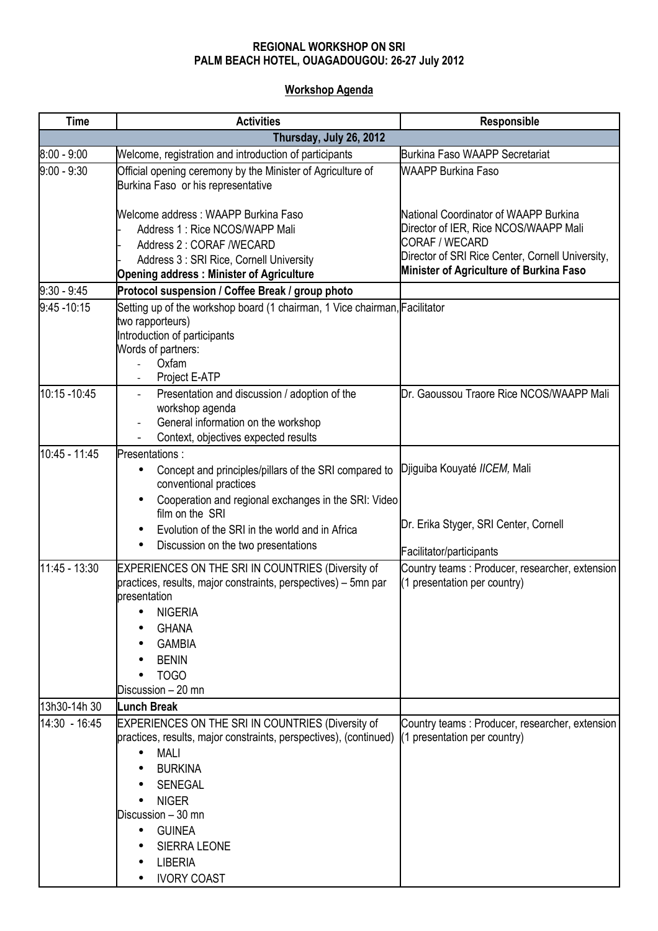## **REGIONAL WORKSHOP ON SRI PALM BEACH HOTEL, OUAGADOUGOU: 26-27 July 2012**

## **Workshop Agenda**

| <b>Time</b>             | <b>Activities</b>                                                                                                                                                                                                                                                                                                         | Responsible                                                                                                                                          |  |
|-------------------------|---------------------------------------------------------------------------------------------------------------------------------------------------------------------------------------------------------------------------------------------------------------------------------------------------------------------------|------------------------------------------------------------------------------------------------------------------------------------------------------|--|
| Thursday, July 26, 2012 |                                                                                                                                                                                                                                                                                                                           |                                                                                                                                                      |  |
| $8:00 - 9:00$           | Welcome, registration and introduction of participants                                                                                                                                                                                                                                                                    | <b>Burkina Faso WAAPP Secretariat</b>                                                                                                                |  |
| $9:00 - 9:30$           | Official opening ceremony by the Minister of Agriculture of<br>Burkina Faso or his representative                                                                                                                                                                                                                         | <b>WAAPP Burkina Faso</b>                                                                                                                            |  |
|                         | Welcome address: WAAPP Burkina Faso<br>Address 1: Rice NCOS/WAPP Mali<br>Address 2: CORAF /WECARD<br>Address 3 : SRI Rice, Cornell University                                                                                                                                                                             | National Coordinator of WAAPP Burkina<br>Director of IER, Rice NCOS/WAAPP Mali<br>CORAF / WECARD<br>Director of SRI Rice Center, Cornell University, |  |
|                         | <b>Opening address: Minister of Agriculture</b>                                                                                                                                                                                                                                                                           | Minister of Agriculture of Burkina Faso                                                                                                              |  |
| $9:30 - 9:45$           | Protocol suspension / Coffee Break / group photo                                                                                                                                                                                                                                                                          |                                                                                                                                                      |  |
| $9:45 - 10:15$          | Setting up of the workshop board (1 chairman, 1 Vice chairman, Facilitator<br>two rapporteurs)<br>Introduction of participants<br>Words of partners:<br>Oxfam<br>Project E-ATP<br>$\overline{\phantom{a}}$                                                                                                                |                                                                                                                                                      |  |
| 10:15 - 10:45           | Presentation and discussion / adoption of the<br>workshop agenda<br>General information on the workshop<br>Context, objectives expected results                                                                                                                                                                           | Dr. Gaoussou Traore Rice NCOS/WAAPP Mali                                                                                                             |  |
| 10:45 - 11:45           | Presentations :                                                                                                                                                                                                                                                                                                           |                                                                                                                                                      |  |
|                         | Concept and principles/pillars of the SRI compared to<br>conventional practices<br>Cooperation and regional exchanges in the SRI: Video<br>$\bullet$                                                                                                                                                                      | Djiguiba Kouyaté IICEM, Mali                                                                                                                         |  |
|                         | film on the SRI<br>Evolution of the SRI in the world and in Africa                                                                                                                                                                                                                                                        | Dr. Erika Styger, SRI Center, Cornell                                                                                                                |  |
|                         | Discussion on the two presentations<br>٠                                                                                                                                                                                                                                                                                  | Facilitator/participants                                                                                                                             |  |
| 11:45 - 13:30           | EXPERIENCES ON THE SRI IN COUNTRIES (Diversity of<br>practices, results, major constraints, perspectives) - 5mn par<br>presentation<br><b>NIGERIA</b><br><b>GHANA</b><br><b>GAMBIA</b><br><b>BENIN</b><br>TOGO<br>Discussion - 20 mn                                                                                      | Country teams: Producer, researcher, extension<br>(1 presentation per country)                                                                       |  |
| 13h30-14h 30            | <b>Lunch Break</b>                                                                                                                                                                                                                                                                                                        |                                                                                                                                                      |  |
| 14:30 - 16:45           | EXPERIENCES ON THE SRI IN COUNTRIES (Diversity of<br>practices, results, major constraints, perspectives), (continued)<br><b>MALI</b><br>$\bullet$<br><b>BURKINA</b><br><b>SENEGAL</b><br><b>NIGER</b><br>Discussion - 30 mn<br><b>GUINEA</b><br>$\bullet$<br><b>SIERRA LEONE</b><br><b>LIBERIA</b><br><b>IVORY COAST</b> | Country teams: Producer, researcher, extension<br>(1 presentation per country)                                                                       |  |